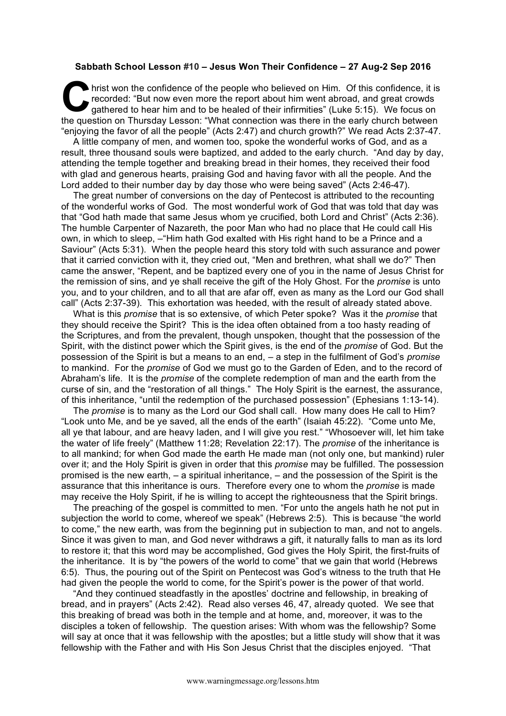## **Sabbath School Lesson #10 – Jesus Won Their Confidence – 27 Aug-2 Sep 2016**

hrist won the confidence of the people who believed on Him. Of this confidence, it is recorded: "But now even more the report about him went abroad, and great crowds gathered to hear him and to be healed of their infirmities" (Luke 5:15). We focus on hrist won the confidence of the people who believed on Him. Of this confidence, it is recorded: "But now even more the report about him went abroad, and great crowds gathered to hear him and to be healed of their infirmiti "enjoying the favor of all the people" (Acts 2:47) and church growth?" We read Acts 2:37-47.

A little company of men, and women too, spoke the wonderful works of God, and as a result, three thousand souls were baptized, and added to the early church. "And day by day, attending the temple together and breaking bread in their homes, they received their food with glad and generous hearts, praising God and having favor with all the people. And the Lord added to their number day by day those who were being saved" (Acts 2:46-47).

The great number of conversions on the day of Pentecost is attributed to the recounting of the wonderful works of God. The most wonderful work of God that was told that day was that "God hath made that same Jesus whom ye crucified, both Lord and Christ" (Acts 2:36). The humble Carpenter of Nazareth, the poor Man who had no place that He could call His own, in which to sleep, –"Him hath God exalted with His right hand to be a Prince and a Saviour" (Acts 5:31). When the people heard this story told with such assurance and power that it carried conviction with it, they cried out, "Men and brethren, what shall we do?" Then came the answer, "Repent, and be baptized every one of you in the name of Jesus Christ for the remission of sins, and ye shall receive the gift of the Holy Ghost. For the *promise* is unto you, and to your children, and to all that are afar off, even as many as the Lord our God shall call" (Acts 2:37-39). This exhortation was heeded, with the result of already stated above.

What is this *promise* that is so extensive, of which Peter spoke? Was it the *promise* that they should receive the Spirit? This is the idea often obtained from a too hasty reading of the Scriptures, and from the prevalent, though unspoken, thought that the possession of the Spirit, with the distinct power which the Spirit gives, is the end of the *promise* of God. But the possession of the Spirit is but a means to an end, – a step in the fulfilment of God's *promise* to mankind. For the *promise* of God we must go to the Garden of Eden, and to the record of Abraham's life. It is the *promise* of the complete redemption of man and the earth from the curse of sin, and the "restoration of all things." The Holy Spirit is the earnest, the assurance, of this inheritance, "until the redemption of the purchased possession" (Ephesians 1:13-14).

The *promise* is to many as the Lord our God shall call. How many does He call to Him? "Look unto Me, and be ye saved, all the ends of the earth" (Isaiah 45:22). "Come unto Me, all ye that labour, and are heavy laden, and I will give you rest." "Whosoever will, let him take the water of life freely" (Matthew 11:28; Revelation 22:17). The *promise* of the inheritance is to all mankind; for when God made the earth He made man (not only one, but mankind) ruler over it; and the Holy Spirit is given in order that this *promise* may be fulfilled. The possession promised is the new earth, – a spiritual inheritance, – and the possession of the Spirit is the assurance that this inheritance is ours. Therefore every one to whom the *promise* is made may receive the Holy Spirit, if he is willing to accept the righteousness that the Spirit brings.

The preaching of the gospel is committed to men. "For unto the angels hath he not put in subjection the world to come, whereof we speak" (Hebrews 2:5). This is because "the world to come," the new earth, was from the beginning put in subjection to man, and not to angels. Since it was given to man, and God never withdraws a gift, it naturally falls to man as its lord to restore it; that this word may be accomplished, God gives the Holy Spirit, the first-fruits of the inheritance. It is by "the powers of the world to come" that we gain that world (Hebrews 6:5). Thus, the pouring out of the Spirit on Pentecost was God's witness to the truth that He had given the people the world to come, for the Spirit's power is the power of that world.

"And they continued steadfastly in the apostles' doctrine and fellowship, in breaking of bread, and in prayers" (Acts 2:42). Read also verses 46, 47, already quoted. We see that this breaking of bread was both in the temple and at home, and, moreover, it was to the disciples a token of fellowship. The question arises: With whom was the fellowship? Some will say at once that it was fellowship with the apostles; but a little study will show that it was fellowship with the Father and with His Son Jesus Christ that the disciples enjoyed. "That